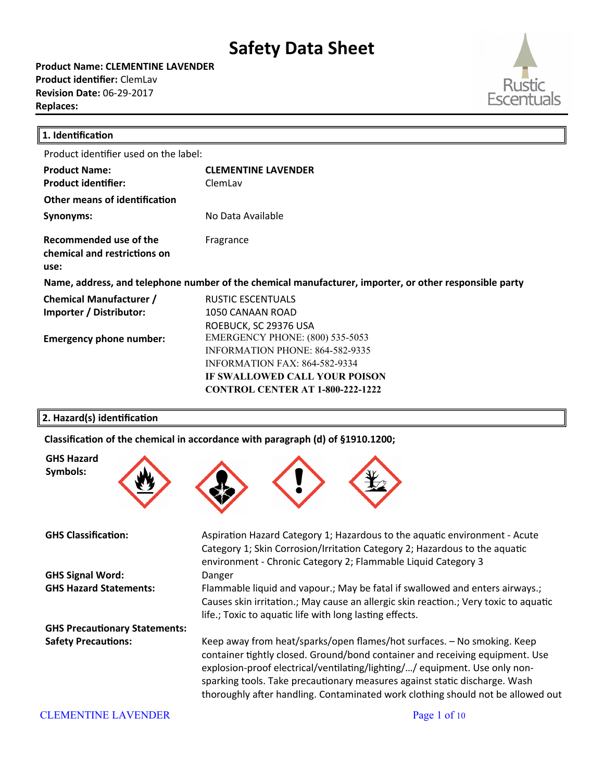**Product Name: CLEMENTINE LAVENDER Product identifier:** ClemLav **Revision Date:** 06-29-2017 **Replaces:** 



| 1. Identification                                                                                      |                                                                                                                                                                                               |  |
|--------------------------------------------------------------------------------------------------------|-----------------------------------------------------------------------------------------------------------------------------------------------------------------------------------------------|--|
| Product identifier used on the label:                                                                  |                                                                                                                                                                                               |  |
| <b>Product Name:</b><br><b>Product identifier:</b>                                                     | <b>CLEMENTINE LAVENDER</b><br>ClemLav                                                                                                                                                         |  |
| Other means of identification                                                                          |                                                                                                                                                                                               |  |
| Synonyms:                                                                                              | No Data Available                                                                                                                                                                             |  |
| Recommended use of the<br>chemical and restrictions on<br>use:                                         | Fragrance                                                                                                                                                                                     |  |
| Name, address, and telephone number of the chemical manufacturer, importer, or other responsible party |                                                                                                                                                                                               |  |
| <b>Chemical Manufacturer /</b><br>Importer / Distributor:                                              | <b>RUSTIC ESCENTUALS</b><br>1050 CANAAN ROAD<br>ROEBUCK, SC 29376 USA                                                                                                                         |  |
| <b>Emergency phone number:</b>                                                                         | <b>EMERGENCY PHONE: (800) 535-5053</b><br>INFORMATION PHONE: 864-582-9335<br><b>INFORMATION FAX: 864-582-9334</b><br>IF SWALLOWED CALL YOUR POISON<br><b>CONTROL CENTER AT 1-800-222-1222</b> |  |

### **2. Hazard(s) identification**

Classification of the chemical in accordance with paragraph (d) of §1910.1200;



**GHS Hazard Symbols:**

**GHS Signal Word:** Danger

**GHS Precautionary Statements:**



**GHS Hazard Statements:** Flammable liquid and vapour. May be fatal if swallowed and enters airways. Causes skin irritation.; May cause an allergic skin reaction.; Very toxic to aquatic life.; Toxic to aquatic life with long lasting effects.

**Safety Precautions:** Keep away from heat/sparks/open fames/hot surfaces. – No smoking. Keep container tghtly closed. Ground/bond container and receiving equipment. Use explosion-proof electrical/ventilating/lighting/.../ equipment. Use only nonsparking tools. Take precautionary measures against static discharge. Wash thoroughly afer handling. Contaminated work clothing should not be allowed out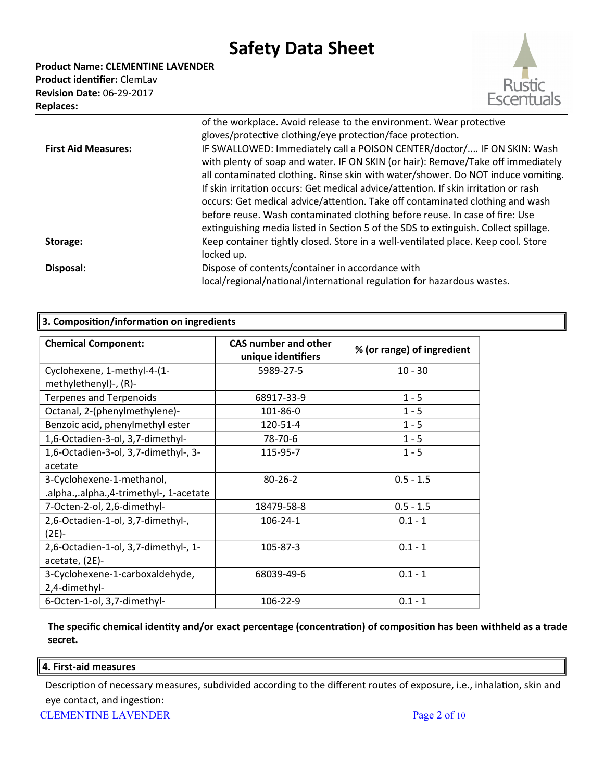**Product Name: CLEMENTINE LAVENDER Product identifier:** ClemLav **Revision Date:** 06-29-2017 **Replaces:** 



|                            | of the workplace. Avoid release to the environment. Wear protective                                                                                                                                                                                                                                                                                                                                                                                                                                                                                                                           |
|----------------------------|-----------------------------------------------------------------------------------------------------------------------------------------------------------------------------------------------------------------------------------------------------------------------------------------------------------------------------------------------------------------------------------------------------------------------------------------------------------------------------------------------------------------------------------------------------------------------------------------------|
|                            | gloves/protective clothing/eye protection/face protection.                                                                                                                                                                                                                                                                                                                                                                                                                                                                                                                                    |
| <b>First Aid Measures:</b> | IF SWALLOWED: Immediately call a POISON CENTER/doctor/ IF ON SKIN: Wash<br>with plenty of soap and water. IF ON SKIN (or hair): Remove/Take off immediately<br>all contaminated clothing. Rinse skin with water/shower. Do NOT induce vomiting.<br>If skin irritation occurs: Get medical advice/attention. If skin irritation or rash<br>occurs: Get medical advice/attention. Take off contaminated clothing and wash<br>before reuse. Wash contaminated clothing before reuse. In case of fire: Use<br>extinguishing media listed in Section 5 of the SDS to extinguish. Collect spillage. |
| Storage:                   | Keep container tightly closed. Store in a well-ventilated place. Keep cool. Store<br>locked up.                                                                                                                                                                                                                                                                                                                                                                                                                                                                                               |
| Disposal:                  | Dispose of contents/container in accordance with<br>local/regional/national/international regulation for hazardous wastes.                                                                                                                                                                                                                                                                                                                                                                                                                                                                    |

| 3. Composition/information on ingredients                            |                                                   |                            |
|----------------------------------------------------------------------|---------------------------------------------------|----------------------------|
| <b>Chemical Component:</b>                                           | <b>CAS number and other</b><br>unique identifiers | % (or range) of ingredient |
| Cyclohexene, 1-methyl-4-(1-<br>methylethenyl)-, (R)-                 | 5989-27-5                                         | $10 - 30$                  |
| <b>Terpenes and Terpenoids</b>                                       | 68917-33-9                                        | $1 - 5$                    |
| Octanal, 2-(phenylmethylene)-                                        | 101-86-0                                          | $1 - 5$                    |
| Benzoic acid, phenylmethyl ester                                     | 120-51-4                                          | $1 - 5$                    |
| 1,6-Octadien-3-ol, 3,7-dimethyl-                                     | 78-70-6                                           | $1 - 5$                    |
| 1,6-Octadien-3-ol, 3,7-dimethyl-, 3-<br>acetate                      | 115-95-7                                          | $1 - 5$                    |
| 3-Cyclohexene-1-methanol,<br>.alpha.,.alpha.,4-trimethyl-, 1-acetate | $80 - 26 - 2$                                     | $0.5 - 1.5$                |
| 7-Octen-2-ol, 2,6-dimethyl-                                          | 18479-58-8                                        | $0.5 - 1.5$                |
| 2,6-Octadien-1-ol, 3,7-dimethyl-,<br>$(2E) -$                        | $106 - 24 - 1$                                    | $0.1 - 1$                  |
| 2,6-Octadien-1-ol, 3,7-dimethyl-, 1-<br>acetate, (2E)-               | 105-87-3                                          | $0.1 - 1$                  |
| 3-Cyclohexene-1-carboxaldehyde,<br>2,4-dimethyl-                     | 68039-49-6                                        | $0.1 - 1$                  |
| 6-Octen-1-ol, 3,7-dimethyl-                                          | 106-22-9                                          | $0.1 - 1$                  |

**The specific chemical identity and/or exact percentage (concentration) of composition has been withheld as a trade secret.**

### **4. First-aid measures**

Description of necessary measures, subdivided according to the different routes of exposure, i.e., inhalation, skin and eye contact, and ingestion: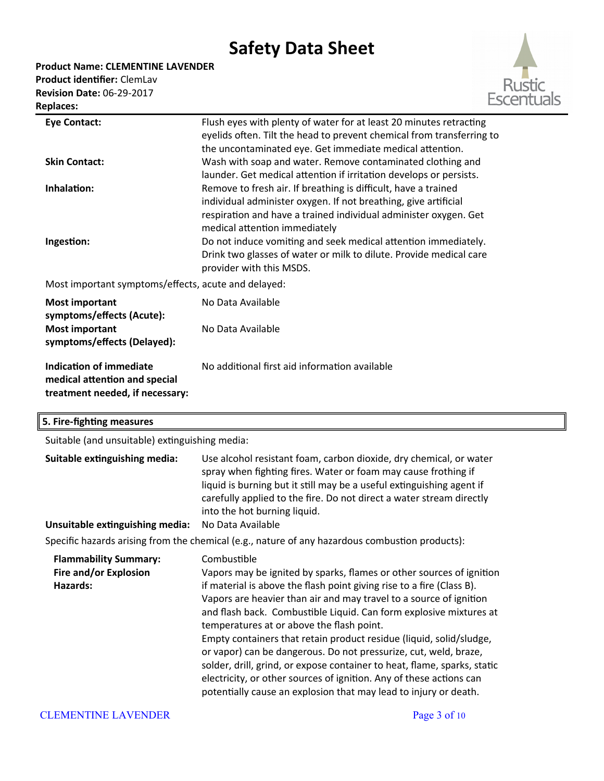**Product Name: CLEMENTINE LAVENDER**

**Product identifier:** ClemLav **Revision Date:** 06-29-2017 **Replaces:** 



| <b>Eye Contact:</b>                                                                         | Flush eyes with plenty of water for at least 20 minutes retracting<br>eyelids often. Tilt the head to prevent chemical from transferring to<br>the uncontaminated eye. Get immediate medical attention.                                |
|---------------------------------------------------------------------------------------------|----------------------------------------------------------------------------------------------------------------------------------------------------------------------------------------------------------------------------------------|
| <b>Skin Contact:</b>                                                                        | Wash with soap and water. Remove contaminated clothing and<br>launder. Get medical attention if irritation develops or persists.                                                                                                       |
| Inhalation:                                                                                 | Remove to fresh air. If breathing is difficult, have a trained<br>individual administer oxygen. If not breathing, give artificial<br>respiration and have a trained individual administer oxygen. Get<br>medical attention immediately |
| Ingestion:                                                                                  | Do not induce vomiting and seek medical attention immediately.<br>Drink two glasses of water or milk to dilute. Provide medical care<br>provider with this MSDS.                                                                       |
| Most important symptoms/effects, acute and delayed:                                         |                                                                                                                                                                                                                                        |
| <b>Most important</b><br>symptoms/effects (Acute):                                          | No Data Available                                                                                                                                                                                                                      |
| <b>Most important</b><br>symptoms/effects (Delayed):                                        | No Data Available                                                                                                                                                                                                                      |
| Indication of immediate<br>medical attention and special<br>treatment needed, if necessary: | No additional first aid information available                                                                                                                                                                                          |

### **5. Fire-fighting measures**

Suitable (and unsuitable) extinguishing media:

| Suitable extinguishing media:<br>Unsuitable extinguishing media:  | Use alcohol resistant foam, carbon dioxide, dry chemical, or water<br>spray when fighting fires. Water or foam may cause frothing if<br>liquid is burning but it still may be a useful extinguishing agent if<br>carefully applied to the fire. Do not direct a water stream directly<br>into the hot burning liquid.<br>No Data Available<br>Specific hazards arising from the chemical (e.g., nature of any hazardous combustion products):                                                                                                                                                                                                                                                                           |
|-------------------------------------------------------------------|-------------------------------------------------------------------------------------------------------------------------------------------------------------------------------------------------------------------------------------------------------------------------------------------------------------------------------------------------------------------------------------------------------------------------------------------------------------------------------------------------------------------------------------------------------------------------------------------------------------------------------------------------------------------------------------------------------------------------|
| <b>Flammability Summary:</b><br>Fire and/or Explosion<br>Hazards: | Combustible<br>Vapors may be ignited by sparks, flames or other sources of ignition<br>if material is above the flash point giving rise to a fire (Class B).<br>Vapors are heavier than air and may travel to a source of ignition<br>and flash back. Combustible Liquid. Can form explosive mixtures at<br>temperatures at or above the flash point.<br>Empty containers that retain product residue (liquid, solid/sludge,<br>or vapor) can be dangerous. Do not pressurize, cut, weld, braze,<br>solder, drill, grind, or expose container to heat, flame, sparks, static<br>electricity, or other sources of ignition. Any of these actions can<br>potentially cause an explosion that may lead to injury or death. |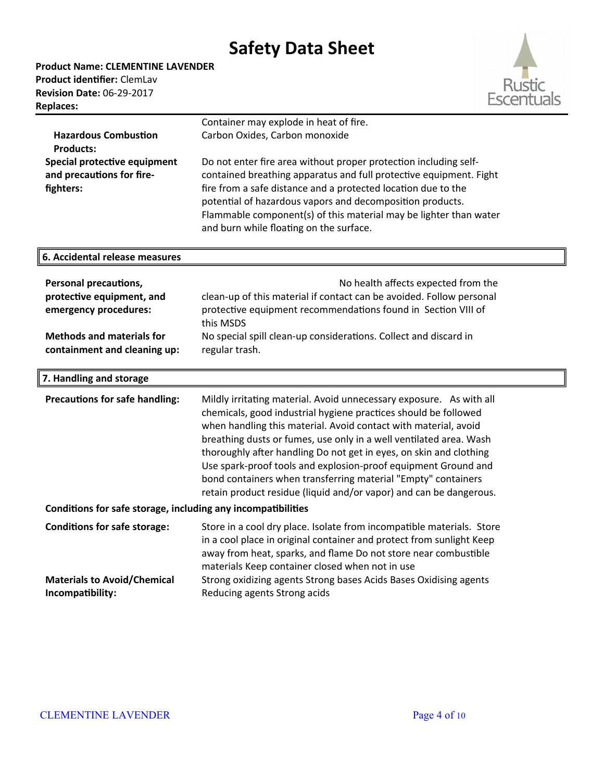**Product Name: CLEMENTINE LAVENDER Product identifier:** ClemLav **Revision Date:** 06-29-2017 **Replaces:** 

**6. Accidental release measures**



|                              | Container may explode in heat of fire.                             |
|------------------------------|--------------------------------------------------------------------|
| <b>Hazardous Combustion</b>  | Carbon Oxides, Carbon monoxide                                     |
| <b>Products:</b>             |                                                                    |
| Special protective equipment | Do not enter fire area without proper protection including self-   |
| and precautions for fire-    | contained breathing apparatus and full protective equipment. Fight |
| fighters:                    | fire from a safe distance and a protected location due to the      |
|                              | potential of hazardous vapors and decomposition products.          |
|                              | Flammable component(s) of this material may be lighter than water  |
|                              | and burn while floating on the surface.                            |

| <b>Personal precautions,</b><br>protective equipment, and<br>emergency procedures: | No health affects expected from the<br>clean-up of this material if contact can be avoided. Follow personal<br>protective equipment recommendations found in Section VIII of<br>this MSDS |
|------------------------------------------------------------------------------------|-------------------------------------------------------------------------------------------------------------------------------------------------------------------------------------------|
| <b>Methods and materials for</b>                                                   | No special spill clean-up considerations. Collect and discard in                                                                                                                          |
| containment and cleaning up:                                                       | regular trash.                                                                                                                                                                            |

| 7. Handling and storage                                      |                                                                                                                                                                                                                                                                                                                                                                                                                                                                                                                                                                |  |
|--------------------------------------------------------------|----------------------------------------------------------------------------------------------------------------------------------------------------------------------------------------------------------------------------------------------------------------------------------------------------------------------------------------------------------------------------------------------------------------------------------------------------------------------------------------------------------------------------------------------------------------|--|
| <b>Precautions for safe handling:</b>                        | Mildly irritating material. Avoid unnecessary exposure. As with all<br>chemicals, good industrial hygiene practices should be followed<br>when handling this material. Avoid contact with material, avoid<br>breathing dusts or fumes, use only in a well ventilated area. Wash<br>thoroughly after handling Do not get in eyes, on skin and clothing<br>Use spark-proof tools and explosion-proof equipment Ground and<br>bond containers when transferring material "Empty" containers<br>retain product residue (liquid and/or vapor) and can be dangerous. |  |
| Conditions for safe storage, including any incompatibilities |                                                                                                                                                                                                                                                                                                                                                                                                                                                                                                                                                                |  |
| <b>Conditions for safe storage:</b>                          | Store in a cool dry place. Isolate from incompatible materials. Store<br>in a cool place in original container and protect from sunlight Keep<br>away from heat, sparks, and flame Do not store near combustible<br>materials Keep container closed when not in use                                                                                                                                                                                                                                                                                            |  |
| <b>Materials to Avoid/Chemical</b><br>Incompatibility:       | Strong oxidizing agents Strong bases Acids Bases Oxidising agents<br>Reducing agents Strong acids                                                                                                                                                                                                                                                                                                                                                                                                                                                              |  |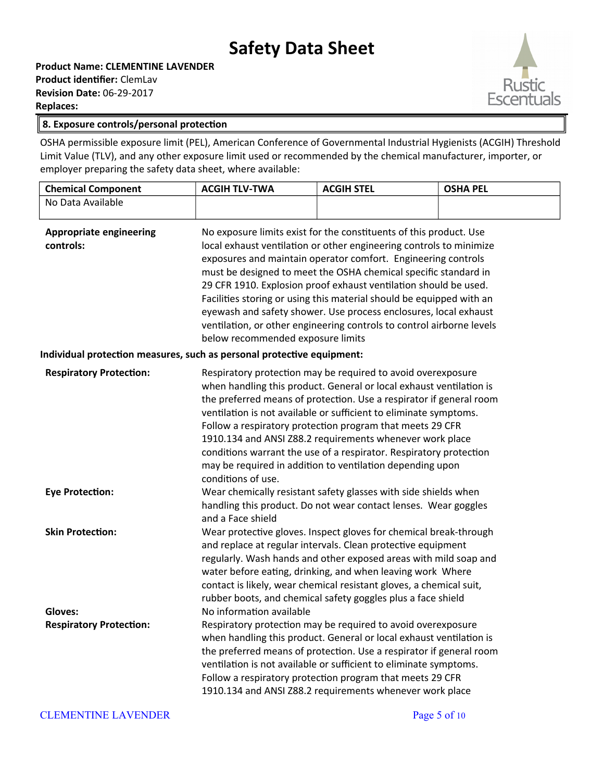**Product Name: CLEMENTINE LAVENDER Product identifier:** ClemLav **Revision Date:** 06-29-2017 **Replaces:** 



### **8. Exposure controls/personal protection**

OSHA permissible exposure limit (PEL), American Conference of Governmental Industrial Hygienists (ACGIH) Threshold Limit Value (TLV), and any other exposure limit used or recommended by the chemical manufacturer, importer, or employer preparing the safety data sheet, where available:

| <b>Chemical Component</b>                                                                                             | <b>ACGIH TLV-TWA</b>                                                                                                                                                                                                                                                                                                                                                                                                                                                                                                                                                                                        | <b>ACGIH STEL</b>                                                                                                                                                                                                                                                                                                                                                                                                                                                                                                                                                                                                                                                                                                                                                                                                      | <b>OSHA PEL</b> |
|-----------------------------------------------------------------------------------------------------------------------|-------------------------------------------------------------------------------------------------------------------------------------------------------------------------------------------------------------------------------------------------------------------------------------------------------------------------------------------------------------------------------------------------------------------------------------------------------------------------------------------------------------------------------------------------------------------------------------------------------------|------------------------------------------------------------------------------------------------------------------------------------------------------------------------------------------------------------------------------------------------------------------------------------------------------------------------------------------------------------------------------------------------------------------------------------------------------------------------------------------------------------------------------------------------------------------------------------------------------------------------------------------------------------------------------------------------------------------------------------------------------------------------------------------------------------------------|-----------------|
| No Data Available                                                                                                     |                                                                                                                                                                                                                                                                                                                                                                                                                                                                                                                                                                                                             |                                                                                                                                                                                                                                                                                                                                                                                                                                                                                                                                                                                                                                                                                                                                                                                                                        |                 |
| <b>Appropriate engineering</b><br>controls:<br>Individual protection measures, such as personal protective equipment: | No exposure limits exist for the constituents of this product. Use<br>local exhaust ventilation or other engineering controls to minimize<br>exposures and maintain operator comfort. Engineering controls<br>must be designed to meet the OSHA chemical specific standard in<br>29 CFR 1910. Explosion proof exhaust ventilation should be used.<br>Facilities storing or using this material should be equipped with an<br>eyewash and safety shower. Use process enclosures, local exhaust<br>ventilation, or other engineering controls to control airborne levels<br>below recommended exposure limits |                                                                                                                                                                                                                                                                                                                                                                                                                                                                                                                                                                                                                                                                                                                                                                                                                        |                 |
| <b>Respiratory Protection:</b>                                                                                        | Respiratory protection may be required to avoid overexposure<br>when handling this product. General or local exhaust ventilation is<br>the preferred means of protection. Use a respirator if general room<br>ventilation is not available or sufficient to eliminate symptoms.<br>Follow a respiratory protection program that meets 29 CFR<br>1910.134 and ANSI Z88.2 requirements whenever work place<br>conditions warrant the use of a respirator. Respiratory protection<br>may be required in addition to ventilation depending upon<br>conditions of use.                                           |                                                                                                                                                                                                                                                                                                                                                                                                                                                                                                                                                                                                                                                                                                                                                                                                                        |                 |
| <b>Eye Protection:</b>                                                                                                | and a Face shield                                                                                                                                                                                                                                                                                                                                                                                                                                                                                                                                                                                           | Wear chemically resistant safety glasses with side shields when<br>handling this product. Do not wear contact lenses. Wear goggles                                                                                                                                                                                                                                                                                                                                                                                                                                                                                                                                                                                                                                                                                     |                 |
| <b>Skin Protection:</b><br>Gloves:<br><b>Respiratory Protection:</b>                                                  | No information available                                                                                                                                                                                                                                                                                                                                                                                                                                                                                                                                                                                    | Wear protective gloves. Inspect gloves for chemical break-through<br>and replace at regular intervals. Clean protective equipment<br>regularly. Wash hands and other exposed areas with mild soap and<br>water before eating, drinking, and when leaving work Where<br>contact is likely, wear chemical resistant gloves, a chemical suit,<br>rubber boots, and chemical safety goggles plus a face shield<br>Respiratory protection may be required to avoid overexposure<br>when handling this product. General or local exhaust ventilation is<br>the preferred means of protection. Use a respirator if general room<br>ventilation is not available or sufficient to eliminate symptoms.<br>Follow a respiratory protection program that meets 29 CFR<br>1910.134 and ANSI Z88.2 requirements whenever work place |                 |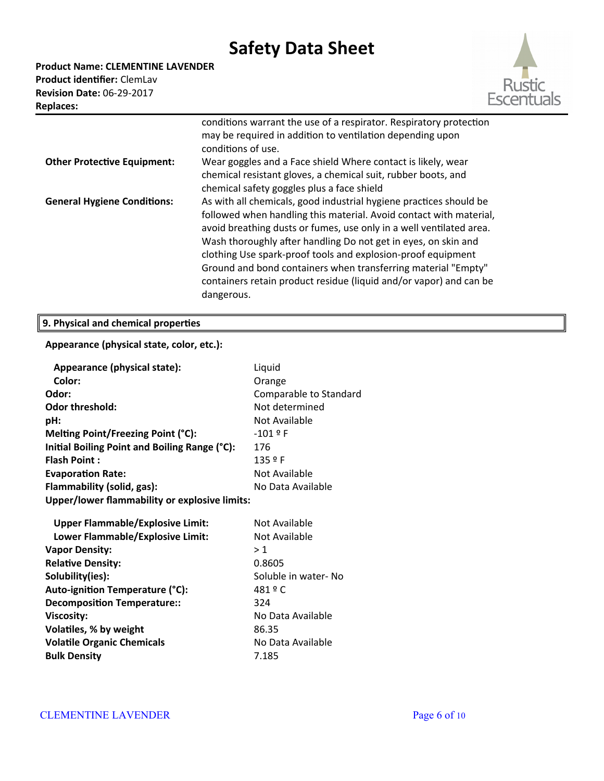**Product Name: CLEMENTINE LAVENDER Product identifier:** ClemLav **Revision Date:** 06-29-2017 **Replaces:** 



|                                    | conditions warrant the use of a respirator. Respiratory protection<br>may be required in addition to ventilation depending upon<br>conditions of use.                                                                                                                                                                                                                                                                                                                                                  |
|------------------------------------|--------------------------------------------------------------------------------------------------------------------------------------------------------------------------------------------------------------------------------------------------------------------------------------------------------------------------------------------------------------------------------------------------------------------------------------------------------------------------------------------------------|
| <b>Other Protective Equipment:</b> | Wear goggles and a Face shield Where contact is likely, wear<br>chemical resistant gloves, a chemical suit, rubber boots, and<br>chemical safety goggles plus a face shield                                                                                                                                                                                                                                                                                                                            |
| <b>General Hygiene Conditions:</b> | As with all chemicals, good industrial hygiene practices should be<br>followed when handling this material. Avoid contact with material,<br>avoid breathing dusts or fumes, use only in a well ventilated area.<br>Wash thoroughly after handling Do not get in eyes, on skin and<br>clothing Use spark-proof tools and explosion-proof equipment<br>Ground and bond containers when transferring material "Empty"<br>containers retain product residue (liquid and/or vapor) and can be<br>dangerous. |

# **9. Physical and chemical properties**

### **Appearance (physical state, color, etc.):**

| Appearance (physical state):                         | Liquid                 |  |
|------------------------------------------------------|------------------------|--|
| Color:                                               | Orange                 |  |
| Odor:                                                | Comparable to Standard |  |
| <b>Odor threshold:</b>                               | Not determined         |  |
| pH:                                                  | Not Available          |  |
| Melting Point/Freezing Point (°C):                   | $-101$ $9$ F           |  |
| Initial Boiling Point and Boiling Range (°C):        | 176                    |  |
| <b>Flash Point:</b>                                  | 135 º F                |  |
| <b>Evaporation Rate:</b>                             | Not Available          |  |
| Flammability (solid, gas):                           | No Data Available      |  |
| <b>Upper/lower flammability or explosive limits:</b> |                        |  |
|                                                      |                        |  |
| <b>Upper Flammable/Explosive Limit:</b>              | Not Available          |  |
| Lower Flammable/Explosive Limit:                     | Not Available          |  |
| <b>Vapor Density:</b>                                | >1                     |  |
| <b>Relative Density:</b>                             | 0.8605                 |  |
| Solubility(ies):                                     | Soluble in water- No   |  |
| Auto-ignition Temperature (°C):                      | 481 º C                |  |
| <b>Decomposition Temperature::</b>                   | 324                    |  |
| <b>Viscosity:</b>                                    | No Data Available      |  |
| Volatiles, % by weight                               | 86.35                  |  |
| <b>Volatile Organic Chemicals</b>                    | No Data Available      |  |
| <b>Bulk Density</b>                                  | 7.185                  |  |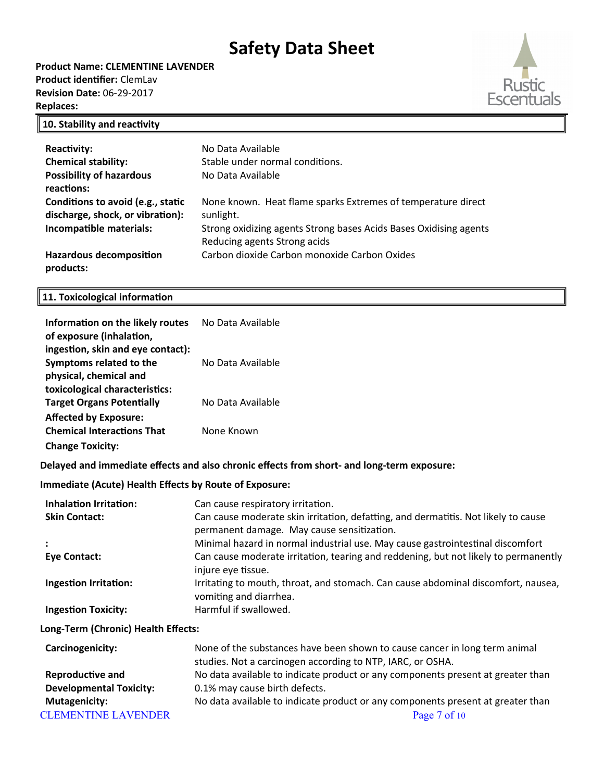**Product Name: CLEMENTINE LAVENDER Product identifier:** ClemLav **Revision Date:** 06-29-2017 **Replaces:** 



### **10. Stability and reactivity**

| <b>Reactivity:</b><br><b>Chemical stability:</b><br><b>Possibility of hazardous</b><br>reactions: | No Data Available<br>Stable under normal conditions.<br>No Data Available                                                                                                      |
|---------------------------------------------------------------------------------------------------|--------------------------------------------------------------------------------------------------------------------------------------------------------------------------------|
| Conditions to avoid (e.g., static<br>discharge, shock, or vibration):<br>Incompatible materials:  | None known. Heat flame sparks Extremes of temperature direct<br>sunlight.<br>Strong oxidizing agents Strong bases Acids Bases Oxidising agents<br>Reducing agents Strong acids |
| <b>Hazardous decomposition</b><br>products:                                                       | Carbon dioxide Carbon monoxide Carbon Oxides                                                                                                                                   |

## **11. Toxicological information**

| Information on the likely routes<br>of exposure (inhalation,                           | No Data Available                                                                                                                                                                           |
|----------------------------------------------------------------------------------------|---------------------------------------------------------------------------------------------------------------------------------------------------------------------------------------------|
| ingestion, skin and eye contact):<br>Symptoms related to the<br>physical, chemical and | No Data Available                                                                                                                                                                           |
| toxicological characteristics:<br><b>Target Organs Potentially</b>                     | No Data Available                                                                                                                                                                           |
| <b>Affected by Exposure:</b><br><b>Chemical Interactions That</b>                      | None Known                                                                                                                                                                                  |
| <b>Change Toxicity:</b>                                                                |                                                                                                                                                                                             |
|                                                                                        | Delayed and immediate effects and also chronic effects from short- and long-term exposure:                                                                                                  |
| <b>Immediate (Acute) Health Effects by Route of Exposure:</b>                          |                                                                                                                                                                                             |
| <b>Inhalation Irritation:</b><br><b>Skin Contact:</b>                                  | Can cause respiratory irritation.<br>Can cause moderate skin irritation, defatting, and dermatitis. Not likely to cause<br>permanent damage. May cause sensitization.                       |
| <b>Eye Contact:</b>                                                                    | Minimal hazard in normal industrial use. May cause gastrointestinal discomfort<br>Can cause moderate irritation, tearing and reddening, but not likely to permanently<br>injure eye tissue. |
| <b>Ingestion Irritation:</b>                                                           | Irritating to mouth, throat, and stomach. Can cause abdominal discomfort, nausea,<br>vomiting and diarrhea.                                                                                 |
| <b>Ingestion Toxicity:</b>                                                             | Harmful if swallowed.                                                                                                                                                                       |
| Long-Term (Chronic) Health Effects:                                                    |                                                                                                                                                                                             |
| Carcinogenicity:                                                                       | None of the substances have been shown to cause cancer in long term animal<br>studies. Not a carcinogen according to NTP, IARC, or OSHA.                                                    |
| <b>Reproductive and</b>                                                                | No data available to indicate product or any components present at greater than                                                                                                             |
| <b>Developmental Toxicity:</b>                                                         | 0.1% may cause birth defects.                                                                                                                                                               |
| <b>Mutagenicity:</b>                                                                   | No data available to indicate product or any components present at greater than                                                                                                             |
| <b>CLEMENTINE LAVENDER</b>                                                             | Page 7 of 10                                                                                                                                                                                |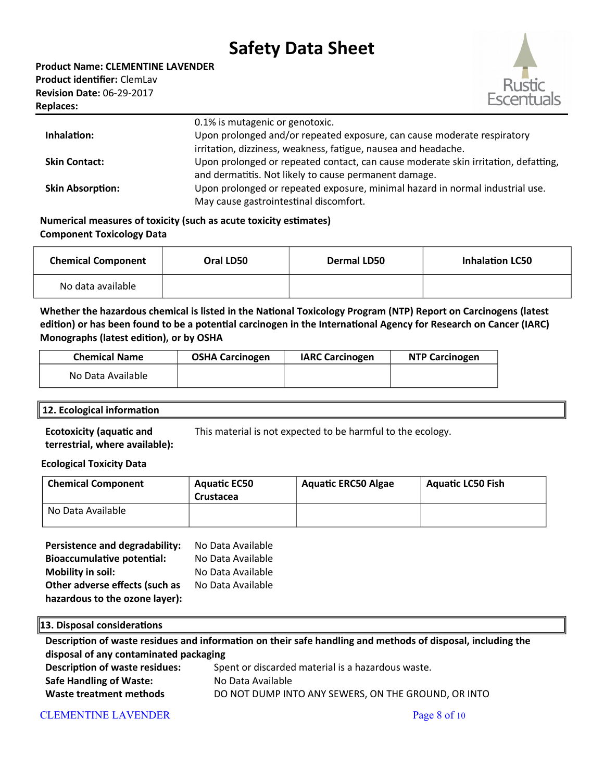

|                         | 0.1% is mutagenic or genotoxic.                                                    |
|-------------------------|------------------------------------------------------------------------------------|
| Inhalation:             | Upon prolonged and/or repeated exposure, can cause moderate respiratory            |
|                         | irritation, dizziness, weakness, fatigue, nausea and headache.                     |
| <b>Skin Contact:</b>    | Upon prolonged or repeated contact, can cause moderate skin irritation, defatting, |
|                         | and dermatitis. Not likely to cause permanent damage.                              |
| <b>Skin Absorption:</b> | Upon prolonged or repeated exposure, minimal hazard in normal industrial use.      |
|                         | May cause gastrointestinal discomfort.                                             |

### **Numerical measures of toxicity (such as acute toxicity estimates) Component Toxicology Data**

| <b>Chemical Component</b> | Oral LD50 | <b>Dermal LD50</b> | <b>Inhalation LC50</b> |
|---------------------------|-----------|--------------------|------------------------|
| No data available         |           |                    |                        |

**Whether the hazardous chemical is listed in the National Toxicology Program (NTP) Report on Carcinogens (latest edition) or has been found to be a potential carcinogen in the International Agency for Research on Cancer (IARC) Monographs (latest edition), or by OSHA**

| <b>Chemical Name</b> | <b>OSHA Carcinogen</b> | <b>IARC Carcinogen</b> | <b>NTP Carcinogen</b> |
|----------------------|------------------------|------------------------|-----------------------|
| No Data Available    |                        |                        |                       |

### **12. Ecological information**

**Ecotoxicity (aquatic and terrestrial, where available):** This material is not expected to be harmful to the ecology.

### **Ecological Toxicity Data**

| <b>Chemical Component</b> | <b>Aquatic EC50</b><br>Crustacea | <b>Aquatic ERC50 Algae</b> | <b>Aquatic LC50 Fish</b> |
|---------------------------|----------------------------------|----------------------------|--------------------------|
| No Data Available         |                                  |                            |                          |

| Persistence and degradability:    | No Data Available |
|-----------------------------------|-------------------|
| <b>Bioaccumulative potential:</b> | No Data Available |
| <b>Mobility in soil:</b>          | No Data Available |
| Other adverse effects (such as    | No Data Available |
| hazardous to the ozone layer):    |                   |

### **13. Disposal considerations**

**Description of waste residues and information on their safe handling and methods of disposal, including the disposal of any contaminated packaging Description of waste residues:** Spent or discarded material is a hazardous waste. **Safe Handling of Waste:** No Data Available **Waste treatment methods** DO NOT DUMP INTO ANY SEWERS, ON THE GROUND, OR INTO

### CLEMENTINE LAVENDER Page 8 of 10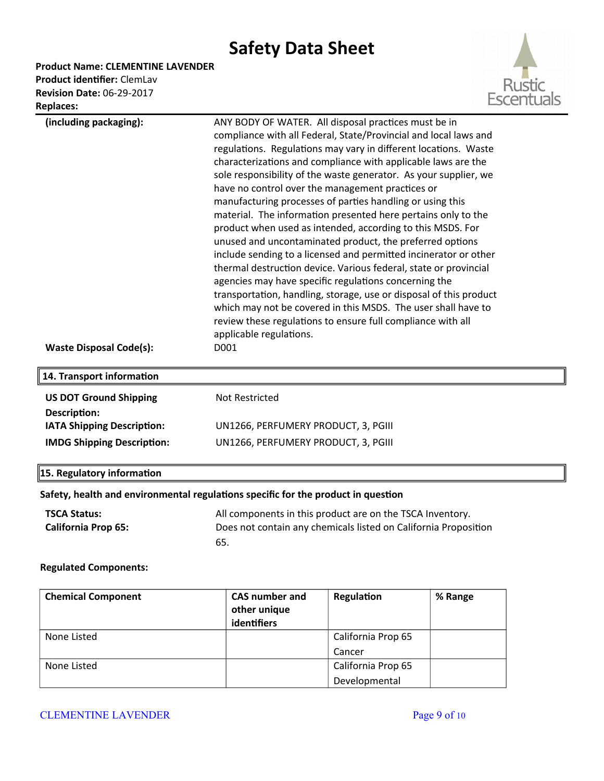**Product Name: CLEMENTINE LAVENDER**

**Product identifier:** ClemLav **Revision Date:** 06-29-2017 **Replaces:** 



| (including packaging):            | ANY BODY OF WATER. All disposal practices must be in                                   |
|-----------------------------------|----------------------------------------------------------------------------------------|
|                                   | compliance with all Federal, State/Provincial and local laws and                       |
|                                   | regulations. Regulations may vary in different locations. Waste                        |
|                                   | characterizations and compliance with applicable laws are the                          |
|                                   | sole responsibility of the waste generator. As your supplier, we                       |
|                                   | have no control over the management practices or                                       |
|                                   | manufacturing processes of parties handling or using this                              |
|                                   | material. The information presented here pertains only to the                          |
|                                   | product when used as intended, according to this MSDS. For                             |
|                                   | unused and uncontaminated product, the preferred options                               |
|                                   | include sending to a licensed and permitted incinerator or other                       |
|                                   | thermal destruction device. Various federal, state or provincial                       |
|                                   | agencies may have specific regulations concerning the                                  |
|                                   | transportation, handling, storage, use or disposal of this product                     |
|                                   | which may not be covered in this MSDS. The user shall have to                          |
|                                   | review these regulations to ensure full compliance with all<br>applicable regulations. |
| <b>Waste Disposal Code(s):</b>    | D001                                                                                   |
|                                   |                                                                                        |
| 14. Transport information         |                                                                                        |
| <b>US DOT Ground Shipping</b>     | Not Restricted                                                                         |
| Description:                      |                                                                                        |
| IATA Shipping Description:        | UN1266, PERFUMERY PRODUCT, 3, PGIII                                                    |
| <b>IMDG Shipping Description:</b> | UN1266, PERFUMERY PRODUCT, 3, PGIII                                                    |
| 15. Regulatory information        |                                                                                        |
|                                   | .                                                                                      |

#### **Safety, health and environmental regulations specific for the product in question**

| <b>TSCA Status:</b>        | All components in this product are on the TSCA Inventory.       |
|----------------------------|-----------------------------------------------------------------|
| <b>California Prop 65:</b> | Does not contain any chemicals listed on California Proposition |
|                            | 65.                                                             |

### **Regulated Components:**

| <b>Chemical Component</b> | <b>CAS number and</b> | Regulation         | % Range |
|---------------------------|-----------------------|--------------------|---------|
|                           | other unique          |                    |         |
|                           | identifiers           |                    |         |
| None Listed               |                       | California Prop 65 |         |
|                           |                       | Cancer             |         |
| None Listed               |                       | California Prop 65 |         |
|                           |                       | Developmental      |         |